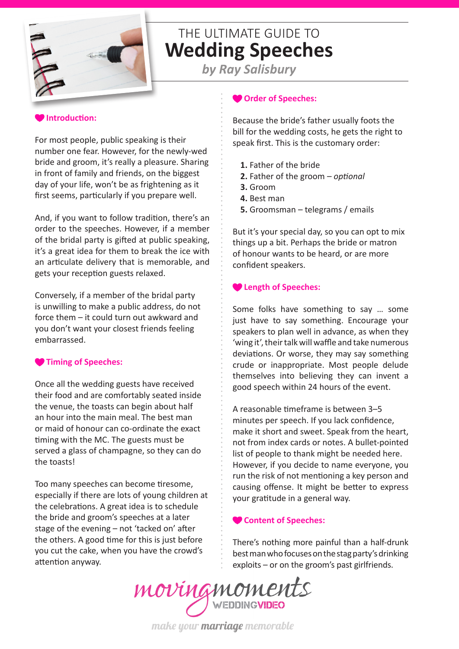

# THE ULTIMATE GUIDE TO **Wedding Speeches**

*by Ray Salisbury*

# **Introduction:**

For most people, public speaking is their number one fear. However, for the newly-wed bride and groom, it's really a pleasure. Sharing in front of family and friends, on the biggest day of your life, won't be as frightening as it first seems, particularly if you prepare well.

And, if you want to follow tradition, there's an order to the speeches. However, if a member of the bridal party is gifted at public speaking, it's a great idea for them to break the ice with an articulate delivery that is memorable, and gets your reception guests relaxed.

Conversely, if a member of the bridal party is unwilling to make a public address, do not force them – it could turn out awkward and you don't want your closest friends feeling embarrassed.

# **Timing of Speeches:**

Once all the wedding guests have received their food and are comfortably seated inside the venue, the toasts can begin about half an hour into the main meal. The best man or maid of honour can co-ordinate the exact timing with the MC. The guests must be served a glass of champagne, so they can do the toasts!

Too many speeches can become tiresome, especially if there are lots of young children at the celebrations. A great idea is to schedule the bride and groom's speeches at a later stage of the evening – not 'tacked on' after the others. A good time for this is just before you cut the cake, when you have the crowd's attention anyway.

### **Order of Speeches:**

Because the bride's father usually foots the bill for the wedding costs, he gets the right to speak first. This is the customary order:

- **1.** Father of the bride
- **2.** Father of the groom *optional*
- **3.** Groom
- **4.** Best man
- **5.** Groomsman telegrams / emails

But it's your special day, so you can opt to mix things up a bit. Perhaps the bride or matron of honour wants to be heard, or are more confident speakers.

### **Length of Speeches:**

Some folks have something to say … some just have to say something. Encourage your speakers to plan well in advance, as when they 'wing it', their talk will waffle and take numerous deviations. Or worse, they may say something crude or inappropriate. Most people delude themselves into believing they can invent a good speech within 24 hours of the event.

A reasonable timeframe is between 3–5 minutes per speech. If you lack confidence, make it short and sweet. Speak from the heart, not from index cards or notes. A bullet-pointed list of people to thank might be needed here. However, if you decide to name everyone, you run the risk of not mentioning a key person and causing offense. It might be better to express your gratitude in a general way.

### **Content of Speeches:**

There's nothing more painful than a half-drunk best man who focuses on the stag party's drinking [exploits – or on the groo](http://www.movingmoments.nz/#!video/c1bf2)m's past girlfriends.

movingmoments

make your marriage memorable